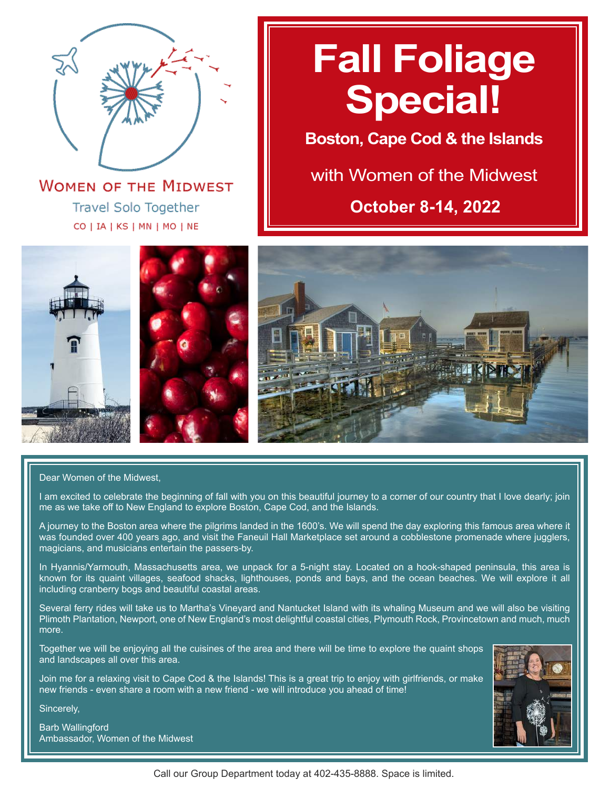

**WOMEN OF THE MIDWEST Travel Solo Together** CO | IA | KS | MN | MO | NE

# **Fall Foliage Special!**

**Boston, Cape Cod & the Islands**

# with Women of the Midwest

**October 8-14, 2022**





#### Dear Women of the Midwest,

I am excited to celebrate the beginning of fall with you on this beautiful journey to a corner of our country that I love dearly; join me as we take off to New England to explore Boston, Cape Cod, and the Islands.

A journey to the Boston area where the pilgrims landed in the 1600's. We will spend the day exploring this famous area where it was founded over 400 years ago, and visit the Faneuil Hall Marketplace set around a cobblestone promenade where jugglers, magicians, and musicians entertain the passers-by.

In Hyannis/Yarmouth, Massachusetts area, we unpack for a 5-night stay. Located on a hook-shaped peninsula, this area is known for its quaint villages, seafood shacks, lighthouses, ponds and bays, and the ocean beaches. We will explore it all including cranberry bogs and beautiful coastal areas.

Several ferry rides will take us to Martha's Vineyard and Nantucket Island with its whaling Museum and we will also be visiting Plimoth Plantation, Newport, one of New England's most delightful coastal cities, Plymouth Rock, Provincetown and much, much more.

Together we will be enjoying all the cuisines of the area and there will be time to explore the quaint shops and landscapes all over this area.

Join me for a relaxing visit to Cape Cod & the Islands! This is a great trip to enjoy with girlfriends, or make new friends - even share a room with a new friend - we will introduce you ahead of time!

Sincerely,

Barb Wallingford Ambassador, Women of the Midwest

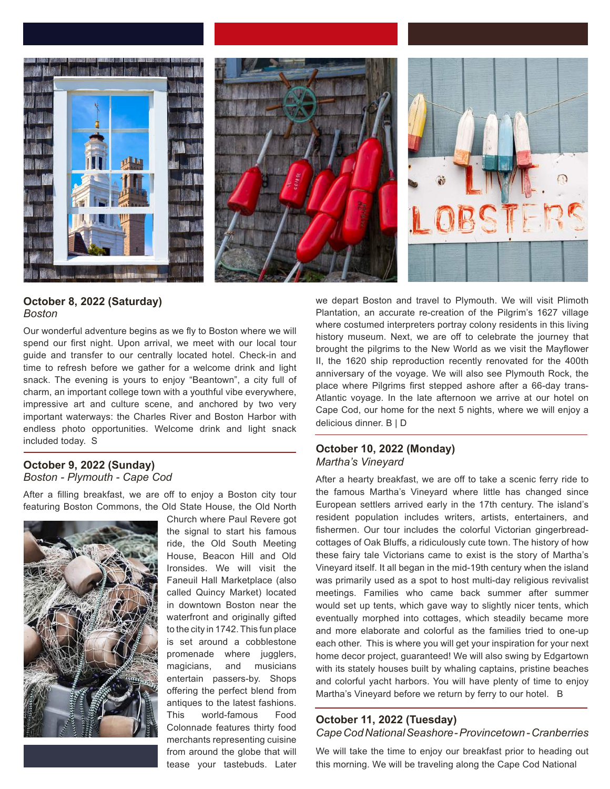

# **October 8, 2022 (Saturday)** *Boston*

Our wonderful adventure begins as we fly to Boston where we will spend our first night. Upon arrival, we meet with our local tour guide and transfer to our centrally located hotel. Check-in and time to refresh before we gather for a welcome drink and light snack. The evening is yours to enjoy "Beantown", a city full of charm, an important college town with a youthful vibe everywhere, impressive art and culture scene, and anchored by two very important waterways: the Charles River and Boston Harbor with endless photo opportunities. Welcome drink and light snack included today. S

### **October 9, 2022 (Sunday)** *Boston - Plymouth - Cape Cod*

After a filling breakfast, we are off to enjoy a Boston city tour featuring Boston Commons, the Old State House, the Old North



Church where Paul Revere got the signal to start his famous ride, the Old South Meeting House, Beacon Hill and Old Ironsides. We will visit the Faneuil Hall Marketplace (also called Quincy Market) located in downtown Boston near the waterfront and originally gifted to the city in 1742. This fun place is set around a cobblestone promenade where jugglers, magicians, and musicians entertain passers-by. Shops offering the perfect blend from antiques to the latest fashions. This world-famous Food Colonnade features thirty food merchants representing cuisine from around the globe that will tease your tastebuds. Later

we depart Boston and travel to Plymouth. We will visit Plimoth Plantation, an accurate re-creation of the Pilgrim's 1627 village where costumed interpreters portray colony residents in this living history museum. Next, we are off to celebrate the journey that brought the pilgrims to the New World as we visit the Mayflower II, the 1620 ship reproduction recently renovated for the 400th anniversary of the voyage. We will also see Plymouth Rock, the place where Pilgrims first stepped ashore after a 66-day trans-Atlantic voyage. In the late afternoon we arrive at our hotel on Cape Cod, our home for the next 5 nights, where we will enjoy a delicious dinner. B | D

## **October 10, 2022 (Monday)** *Martha's Vineyard*

After a hearty breakfast, we are off to take a scenic ferry ride to the famous Martha's Vineyard where little has changed since European settlers arrived early in the 17th century. The island's resident population includes writers, artists, entertainers, and fishermen. Our tour includes the colorful Victorian gingerbreadcottages of Oak Bluffs, a ridiculously cute town. The history of how these fairy tale Victorians came to exist is the story of Martha's Vineyard itself. It all began in the mid-19th century when the island was primarily used as a spot to host multi-day religious revivalist meetings. Families who came back summer after summer would set up tents, which gave way to slightly nicer tents, which eventually morphed into cottages, which steadily became more and more elaborate and colorful as the families tried to one-up each other. This is where you will get your inspiration for your next home decor project, guaranteed! We will also swing by Edgartown with its stately houses built by whaling captains, pristine beaches and colorful yacht harbors. You will have plenty of time to enjoy Martha's Vineyard before we return by ferry to our hotel. B

### **October 11, 2022 (Tuesday)** *Cape Cod National Seashore- Provincetown - Cranberries*

We will take the time to enjoy our breakfast prior to heading out this morning. We will be traveling along the Cape Cod National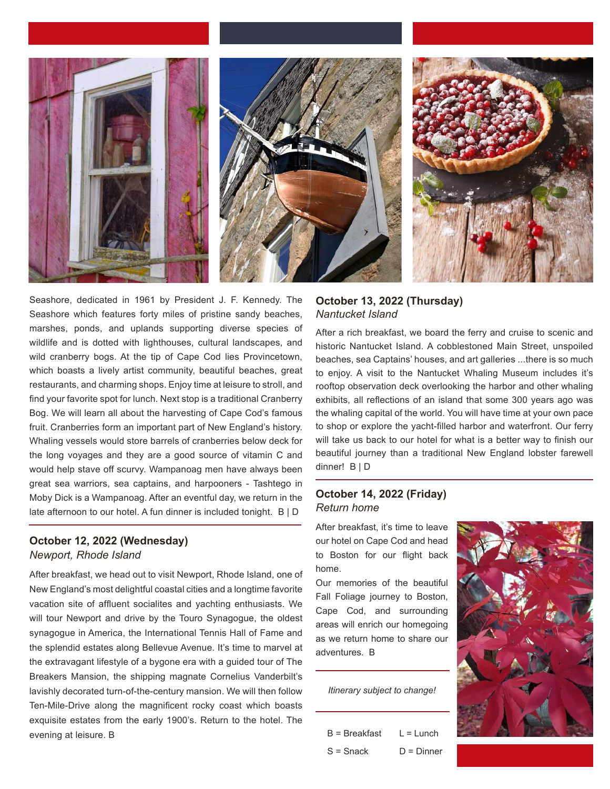

Seashore, dedicated in 1961 by President J. F. Kennedy. The Seashore which features forty miles of pristine sandy beaches, marshes, ponds, and uplands supporting diverse species of wildlife and is dotted with lighthouses, cultural landscapes, and wild cranberry bogs. At the tip of Cape Cod lies Provincetown, which boasts a lively artist community, beautiful beaches, great restaurants, and charming shops. Enjoy time at leisure to stroll, and find your favorite spot for lunch. Next stop is a traditional Cranberry Bog. We will learn all about the harvesting of Cape Cod's famous fruit. Cranberries form an important part of New England's history. Whaling vessels would store barrels of cranberries below deck for the long voyages and they are a good source of vitamin C and would help stave off scurvy. Wampanoag men have always been great sea warriors, sea captains, and harpooners - Tashtego in Moby Dick is a Wampanoag. After an eventful day, we return in the late afternoon to our hotel. A fun dinner is included tonight. B | D

# **October 12, 2022 (Wednesday)** *Newport, Rhode Island*

After breakfast, we head out to visit Newport, Rhode Island, one of New England's most delightful coastal cities and a longtime favorite vacation site of affluent socialites and yachting enthusiasts. We will tour Newport and drive by the Touro Synagogue, the oldest synagogue in America, the International Tennis Hall of Fame and the splendid estates along Bellevue Avenue. It's time to marvel at the extravagant lifestyle of a bygone era with a guided tour of The Breakers Mansion, the shipping magnate Cornelius Vanderbilt's lavishly decorated turn-of-the-century mansion. We will then follow Ten-Mile-Drive along the magnificent rocky coast which boasts exquisite estates from the early 1900's. Return to the hotel. The evening at leisure. B

# **October 13, 2022 (Thursday)** *Nantucket Island*

After a rich breakfast, we board the ferry and cruise to scenic and historic Nantucket Island. A cobblestoned Main Street, unspoiled beaches, sea Captains' houses, and art galleries ...there is so much to enjoy. A visit to the Nantucket Whaling Museum includes it's rooftop observation deck overlooking the harbor and other whaling exhibits, all reflections of an island that some 300 years ago was the whaling capital of the world. You will have time at your own pace to shop or explore the yacht-filled harbor and waterfront. Our ferry will take us back to our hotel for what is a better way to finish our beautiful journey than a traditional New England lobster farewell dinner! B | D

# **October 14, 2022 (Friday)** *Return home*

After breakfast, it's time to leave our hotel on Cape Cod and head to Boston for our flight back home.

Our memories of the beautiful Fall Foliage journey to Boston, Cape Cod, and surrounding areas will enrich our homegoing as we return home to share our adventures. B

*Itinerary subject to change!*

| $B = B$ reakfast | $L = L$ unch |
|------------------|--------------|
| $S =$ Snack      | $D =$ Dinner |

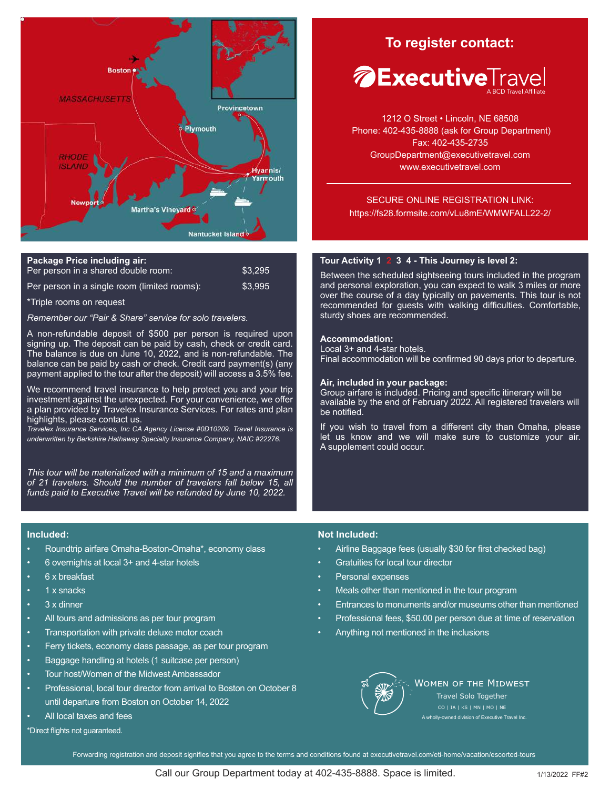

| Package Price including air:                 |         |
|----------------------------------------------|---------|
| Per person in a shared double room:          | \$3.295 |
| Per person in a single room (limited rooms): | \$3,995 |

\*Triple rooms on request

*Remember our "Pair & Share" service for solo travelers.*

A non-refundable deposit of \$500 per person is required upon signing up. The deposit can be paid by cash, check or credit card. The balance is due on June 10, 2022, and is non-refundable. The balance can be paid by cash or check. Credit card payment(s) (any payment applied to the tour after the deposit) will access a 3.5% fee.

We recommend travel insurance to help protect you and your trip investment against the unexpected. For your convenience, we offer a plan provided by Travelex Insurance Services. For rates and plan highlights, please contact us.

*Travelex Insurance Services, Inc CA Agency License #0D10209. Travel Insurance is underwritten by Berkshire Hathaway Specialty Insurance Company, NAIC #22276.*

*This tour will be materialized with a minimum of 15 and a maximum of 21 travelers. Should the number of travelers fall below 15, all funds paid to Executive Travel will be refunded by June 10, 2022.*

# **To register contact: To register contact:**



1212 O Street • Lincoln, NE 68508 Phone: 402-435-8888 (ask for Group Department) Fax: 402-435-2735 GroupDepartment@executivetravel.com www.executivetravel.com

SECURE ONLINE REGISTRATION LINK: https://fs28.formsite.com/vLu8mE/WMWFALL22-2/

#### **Tour Activity 1 2 3 4 - This Journey is level 2:**

Between the scheduled sightseeing tours included in the program and personal exploration, you can expect to walk 3 miles or more over the course of a day typically on pavements. This tour is not recommended for guests with walking difficulties. Comfortable, sturdy shoes are recommended.

#### **Accommodation:**

Local 3+ and 4-star hotels. Final accommodation will be confirmed 90 days prior to departure.

#### **Air, included in your package:**

Group airfare is included. Pricing and specific itinerary will be available by the end of February 2022. All registered travelers will be notified.

If you wish to travel from a different city than Omaha, please let us know and we will make sure to customize your air. A supplement could occur.

#### **Included:**

- Roundtrip airfare Omaha-Boston-Omaha\*, economy class
- 6 overnights at local 3+ and 4-star hotels
- 6 x breakfast
- 1 x snacks
- 3 x dinner
- All tours and admissions as per tour program
- Transportation with private deluxe motor coach
- Ferry tickets, economy class passage, as per tour program
- Baggage handling at hotels (1 suitcase per person)
- Tour host/Women of the Midwest Ambassador
- Professional, local tour director from arrival to Boston on October 8 until departure from Boston on October 14, 2022
- All local taxes and fees

\*Direct flights not guaranteed.

#### **Not Included:**

- Airline Baggage fees (usually \$30 for first checked bag)
- Gratuities for local tour director
- Personal expenses
- Meals other than mentioned in the tour program
- Entrances to monuments and/or museums other than mentioned
- Professional fees, \$50.00 per person due at time of reservation
- Anything not mentioned in the inclusions



**WOMEN OF THE MIDWEST** Travel Solo Together A wholly-owned division of Executive Travel Inc.

Forwarding registration and deposit signifies that you agree to the terms and conditions found at executivetravel.com/eti-home/vacation/escorted-tours